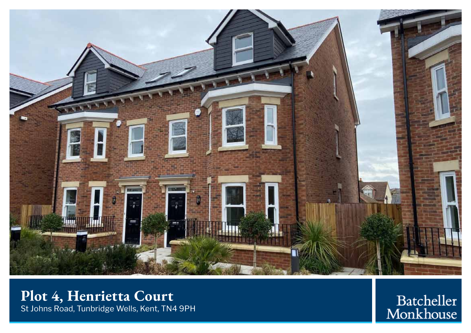

## **Plot 4, Henrietta Court** St Johns Road, Tunbridge Wells, Kent, TN4 9PH

Batcheller<br>Monkhouse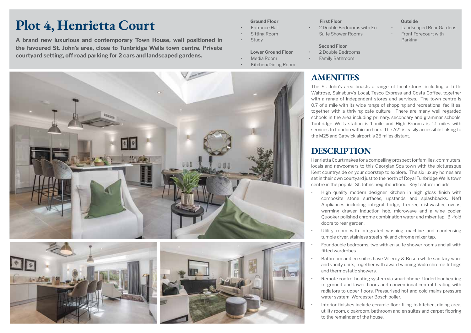# **Plot 4, Henrietta Court**

**A brand new luxurious and contemporary Town House, well positioned in the Study of Study Contract Contemporary Town House, well positioned in the Study of Parking Parking the favoured St. John's area, close to Tunbridge Wells town centre. Private courtyard setting, off road parking for 2 cars and landscaped gardens.**

#### **Ground Floor**

- **Fntrance Hall**
- Sitting Room
- **Study**
- **Lower Ground Floor**
- Media Room
- Kitchen/Dining Room







#### **First Floor**

2 Double Bedrooms with En Suite Shower Rooms

#### **Second Floor**

- 2 Double Bedrooms
- Family Bathroom

### **AMENITIES**

The St. John's area boasts a range of local stores including a Little Waitrose, Sainsbury's Local, Tesco Express and Costa Coffee, together with a range of independent stores and services. The town centre is 0.7 of a mile with its wide range of shopping and recreational facilities, together with a thriving cafe culture. There are many well regarded schools in the area including primary, secondary and grammar schools. Tunbridge Wells station is 1 mile and High Brooms is 1.1 miles with services to London within an hour. The A21 is easily accessible linking to the M25 and Gatwick airport is 25 miles distant.

### **DESCRIPTION**

Henrietta Court makes for a compelling prospect for families, commuters, locals and newcomers to this Georgian Spa town with the picturesque Kent countryside on your doorstep to explore. The six luxury homes are set in their own courtyard just to the north of Royal Tunbridge Wells town centre in the popular St. Johns neighbourhood. Key feature include:

- High quality modern designer kitchen in high gloss finish with composite stone surfaces, upstands and splashbacks. Neff Appliances including integral fridge, freezer, dishwasher, ovens, warming drawer, induction hob, microwave and a wine cooler. Quooker polished chrome combination water and mixer tap. Bi-fold doors to rear garden.
- Utility room with integrated washing machine and condensing tumble dryer, stainless steel sink and chrome mixer tap.
- Four double bedrooms, two with en suite shower rooms and all with fitted wardrobes.
- Bathroom and en suites have Villeroy & Bosch white sanitary ware and vanity units, together with award winning Vado chrome fittings and thermostatic showers.
- Remote control heating system via smart phone. Underfloor heating to ground and lower floors and conventional central heating with radiators to upper floors. Pressurised hot and cold mains pressure water system, Worcester Bosch boiler.
- Interior finishes include ceramic floor tiling to kitchen, dining area, utility room, cloakroom, bathroom and en suites and carpet flooring to the remainder of the house.

#### **Outside**

- **Landscaped Rear Gardens Front Forecourt with**
-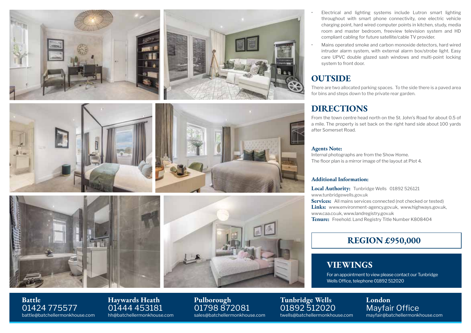











- Electrical and lighting systems include Lutron smart lighting throughout with smart phone connectivity, one electric vehicle charging point, hard wired computer points in kitchen, study, media room and master bedroom, freeview television system and HD compliant cabling for future satellite/cable TV provider.
- Mains operated smoke and carbon monoxide detectors, hard wired intruder alarm system, with external alarm box/strobe light. Easy care UPVC double glazed sash windows and multi-point locking system to front door.

### **OUTSIDE**

There are two allocated parking spaces. To the side there is a paved area for bins and steps down to the private rear garden.

### **DIRECTIONS**

From the town centre head north on the St. John's Road for about 0.5 of a mile. The property is set back on the right hand side about 100 yards after Somerset Road.

#### **Agents Note:**

Internal photographs are from the Show Home. The floor plan is a mirror image of the layout at Plot 4.

### **Additional Information:**

Local Authority: Tunbridge Wells 01892 526121 www.tunbridgewells.gov.uk **Services:** All mains services connected (not checked or tested) Links: www.environment-agency.gov.uk, www.highways.gov.uk, www.caa.co.uk, www.landregistry.gov.uk **Tenure:** Freehold. Land Registry Title Number K808404

### **REGION £950,000**

### **VIEWINGS**

For an appointment to view please contact our Tunbridge Wells Office, telephone 01892 512020

> **London** Mayfair Office mayfair@batchellermonkhouse.com

**Battle** 01424 775577 battle@batchellermonkhouse.com **Haywards Heath** 01444 453181 hh@batchellermonkhouse.com

**Pulborough** 01798 872081 sales@batchellermonkhouse.com

01892 512020 twells@batchellermonkhouse.com

**Tunbridge Wells**